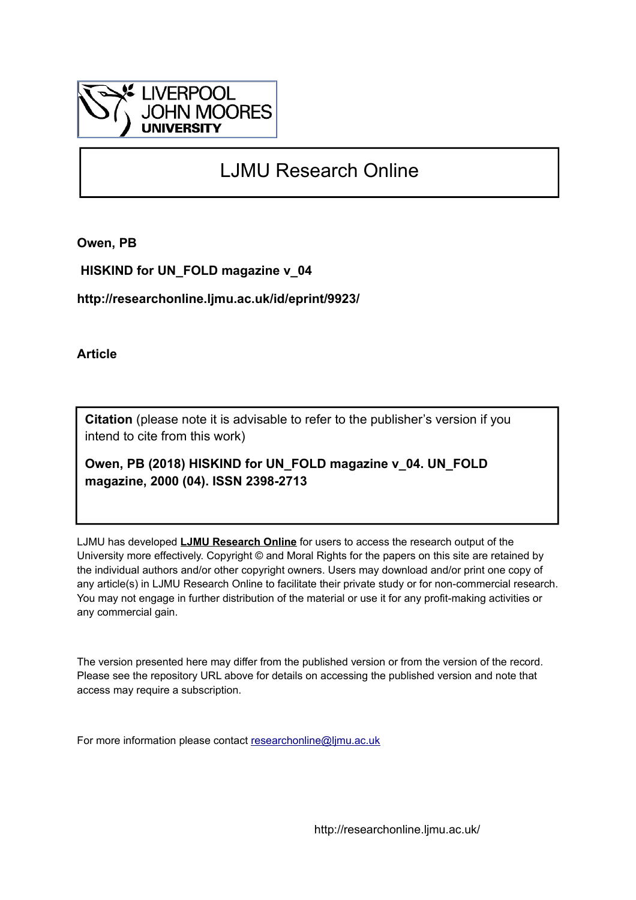

### LJMU Research Online

**Owen, PB**

 **HISKIND for UN\_FOLD magazine v\_04**

**http://researchonline.ljmu.ac.uk/id/eprint/9923/**

**Article**

**Citation** (please note it is advisable to refer to the publisher's version if you intend to cite from this work)

**Owen, PB (2018) HISKIND for UN\_FOLD magazine v\_04. UN\_FOLD magazine, 2000 (04). ISSN 2398-2713** 

LJMU has developed **[LJMU Research Online](http://researchonline.ljmu.ac.uk/)** for users to access the research output of the University more effectively. Copyright © and Moral Rights for the papers on this site are retained by the individual authors and/or other copyright owners. Users may download and/or print one copy of any article(s) in LJMU Research Online to facilitate their private study or for non-commercial research. You may not engage in further distribution of the material or use it for any profit-making activities or any commercial gain.

The version presented here may differ from the published version or from the version of the record. Please see the repository URL above for details on accessing the published version and note that access may require a subscription.

For more information please contact [researchonline@ljmu.ac.uk](mailto:researchonline@ljmu.ac.uk)

http://researchonline.ljmu.ac.uk/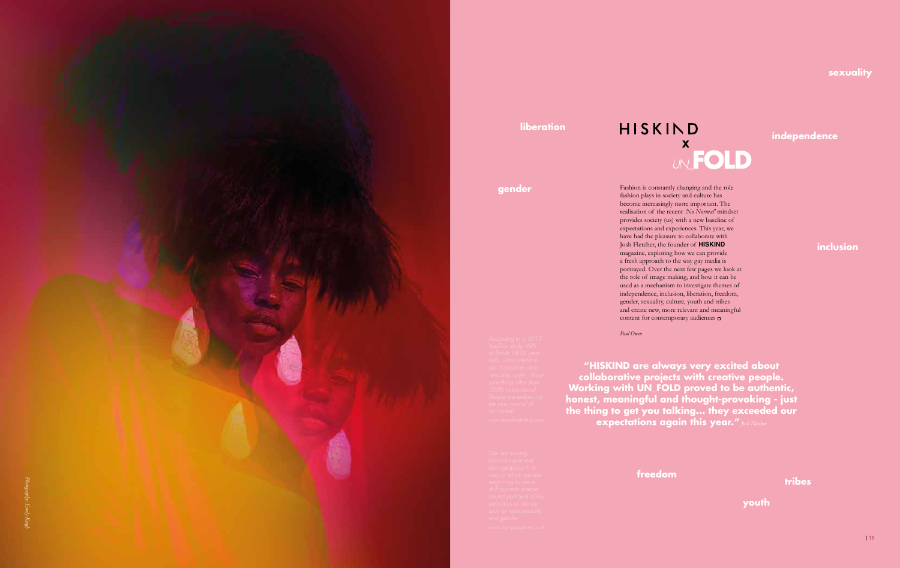Fashion is constantly changing and the role fashion plays in society and culture has become increasingly more important. The realisation of the recent *No Normal'* mindset provides society (us) with a new baseline of expectations and experiences. This year, we have had the pleasure to collaborate with Josh Fletcher, the founder of **HISKIND** magazine, exploring how we can provide a fresh approach to the way gay media is portrayed. Over the next few pages we look at the role of image making, and how it can be used as a mechanism to investigate themes of independence, inclusion, liberation, freedom, gender, sexuality, culture, youth and tribes and create new, more relevant and meaningful content for contemporary audiences  $\square$ 



*Paul Owen*

**gender**

## HISKIND **x**<br>**FOLD**

#### **liberation**

### **independence**

**freedom**

**youth**

**"HISKIND are always very excited about collaborative projects with creative people. Working with UN\_FOLD proved to be authentic, honest, meaningful and thought-provoking - just the thing to get you talking... they exceeded our expectations again this year."** *Josh Fletcher*

#### **inclusion**

#### **sexuality**

**tribes**

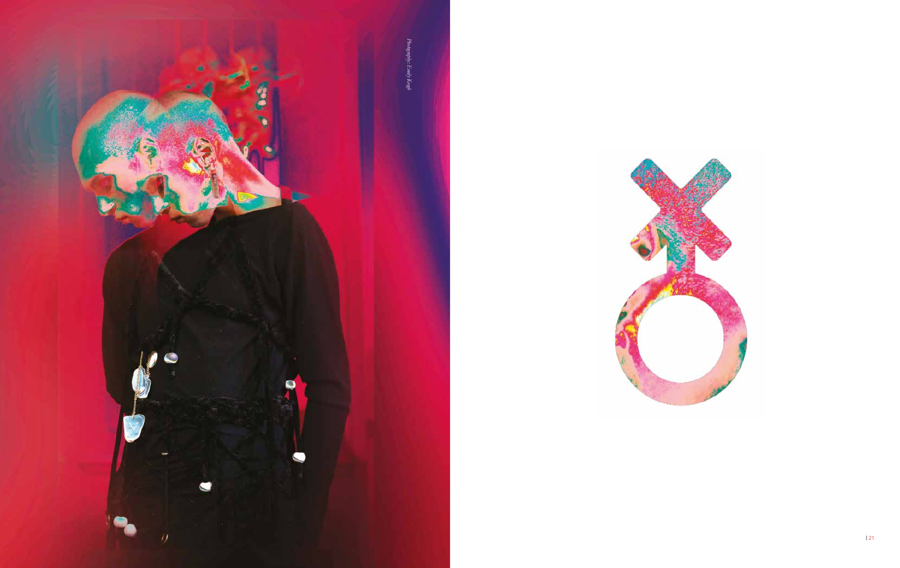

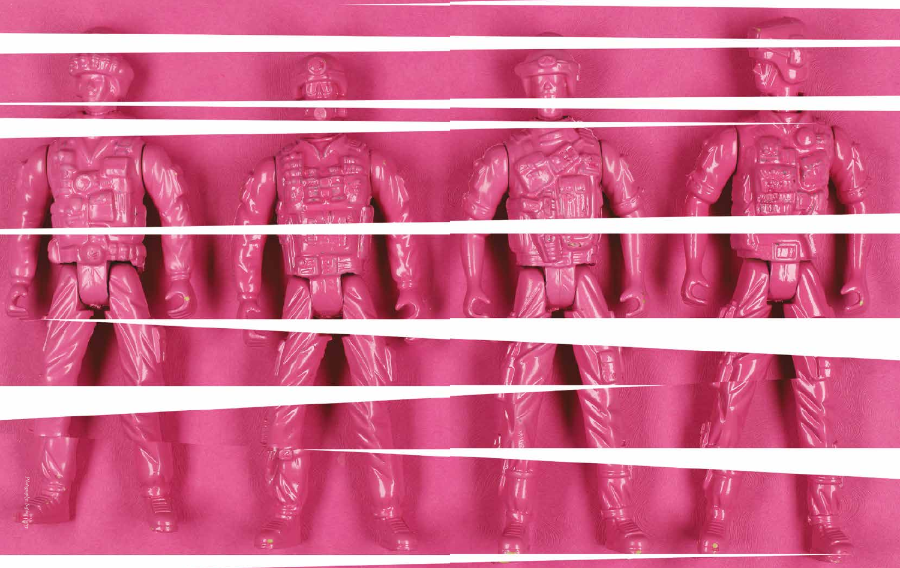